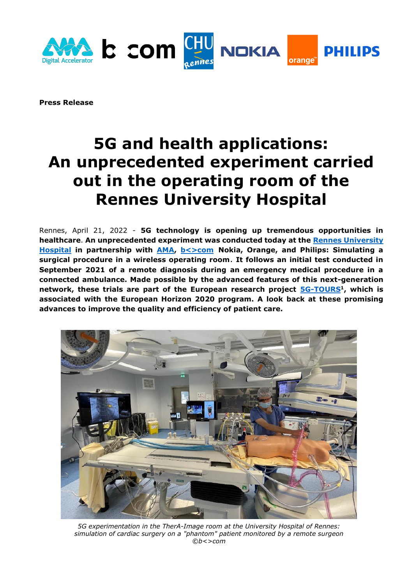

**Press Release** 

# **5G and health applications: An unprecedented experiment carried out in the operating room of the Rennes University Hospital**

Rennes, April 21, 2022 - **5G technology is opening up tremendous opportunities in healthcare**. **An unprecedented experiment was conducted today at the [Rennes University](https://www.chu-rennes.fr/)  [Hospital](https://www.chu-rennes.fr/) in partnership with [AMA,](https://www.amaxperteye.com/) [b<>com](https://b-com.com/) Nokia, Orange, and Philips: Simulating a surgical procedure in a wireless operating room**. **It follows an initial test conducted in September 2021 of a remote diagnosis during an emergency medical procedure in a connected ambulance. Made possible by the advanced features of this next-generation network, these trials are part of the European research project [5G-TOURS](https://5gtours.eu/)<sup>1</sup> , which is associated with the European Horizon 2020 program. A look back at these promising advances to improve the quality and efficiency of patient care.**



*5G experimentation in the TherA-Image room at the University Hospital of Rennes: simulation of cardiac surgery on a "phantom" patient monitored by a remote surgeon ©b<>com*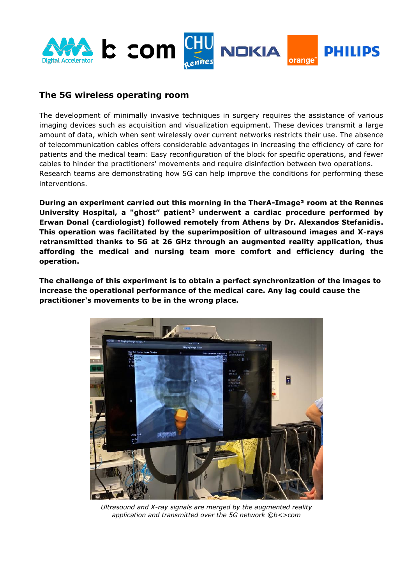

## **The 5G wireless operating room**

The development of minimally invasive techniques in surgery requires the assistance of various imaging devices such as acquisition and visualization equipment. These devices transmit a large amount of data, which when sent wirelessly over current networks restricts their use. The absence of telecommunication cables offers considerable advantages in increasing the efficiency of care for patients and the medical team: Easy reconfiguration of the block for specific operations, and fewer cables to hinder the practitioners' movements and require disinfection between two operations. Research teams are demonstrating how 5G can help improve the conditions for performing these interventions.

**During an experiment carried out this morning in the TherA-Image² room at the Rennes University Hospital, a "ghost" patient<sup>3</sup> underwent a cardiac procedure performed by Erwan Donal (cardiologist) followed remotely from Athens by Dr. Alexandos Stefanidis. This operation was facilitated by the superimposition of ultrasound images and X-rays retransmitted thanks to 5G at 26 GHz through an augmented reality application, thus affording the medical and nursing team more comfort and efficiency during the operation.** 

**The challenge of this experiment is to obtain a perfect synchronization of the images to increase the operational performance of the medical care. Any lag could cause the practitioner's movements to be in the wrong place.** 



*Ultrasound and X-ray signals are merged by the augmented reality application and transmitted over the 5G network ©b<>com*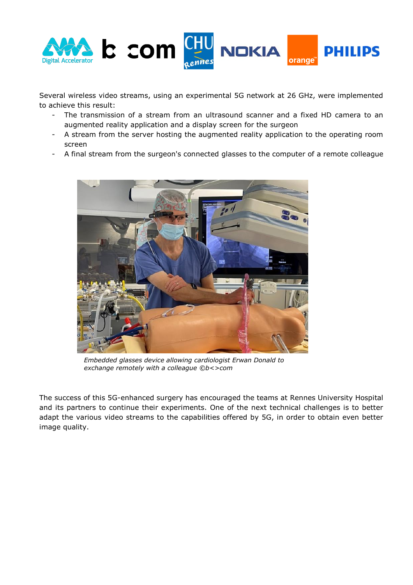

Several wireless video streams, using an experimental 5G network at 26 GHz, were implemented to achieve this result:

- The transmission of a stream from an ultrasound scanner and a fixed HD camera to an augmented reality application and a display screen for the surgeon
- A stream from the server hosting the augmented reality application to the operating room screen
- A final stream from the surgeon's connected glasses to the computer of a remote colleague



*Embedded glasses device allowing cardiologist Erwan Donald to exchange remotely with a colleague ©b<>com*

The success of this 5G-enhanced surgery has encouraged the teams at Rennes University Hospital and its partners to continue their experiments. One of the next technical challenges is to better adapt the various video streams to the capabilities offered by 5G, in order to obtain even better image quality.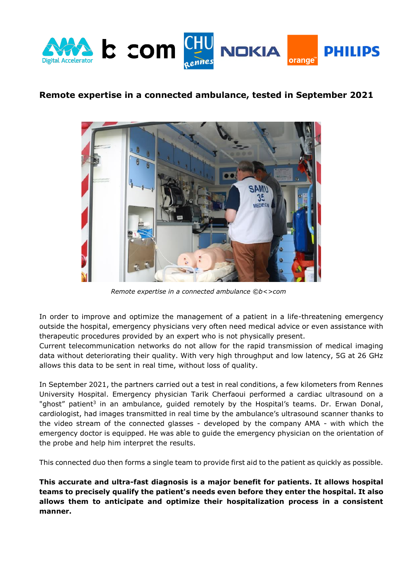

## **Remote expertise in a connected ambulance, tested in September 2021**



*Remote expertise in a connected ambulance ©b<>com*

In order to improve and optimize the management of a patient in a life-threatening emergency outside the hospital, emergency physicians very often need medical advice or even assistance with therapeutic procedures provided by an expert who is not physically present.

Current telecommunication networks do not allow for the rapid transmission of medical imaging data without deteriorating their quality. With very high throughput and low latency, 5G at 26 GHz allows this data to be sent in real time, without loss of quality.

In September 2021, the partners carried out a test in real conditions, a few kilometers from Rennes University Hospital. Emergency physician Tarik Cherfaoui performed a cardiac ultrasound on a "ghost" patient<sup>3</sup> in an ambulance, guided remotely by the Hospital's teams. Dr. Erwan Donal, cardiologist, had images transmitted in real time by the ambulance's ultrasound scanner thanks to the video stream of the connected glasses - developed by the company AMA - with which the emergency doctor is equipped. He was able to guide the emergency physician on the orientation of the probe and help him interpret the results.

This connected duo then forms a single team to provide first aid to the patient as quickly as possible.

**This accurate and ultra-fast diagnosis is a major benefit for patients. It allows hospital teams to precisely qualify the patient's needs even before they enter the hospital. It also allows them to anticipate and optimize their hospitalization process in a consistent manner.**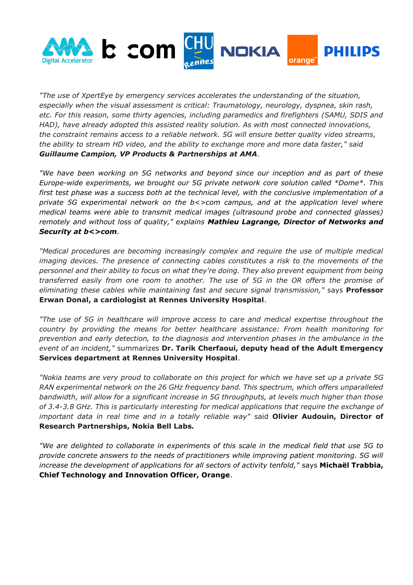

*"The use of XpertEye by emergency services accelerates the understanding of the situation, especially when the visual assessment is critical: Traumatology, neurology, dyspnea, skin rash, etc. For this reason, some thirty agencies, including paramedics and firefighters (SAMU, SDIS and HAD), have already adopted this assisted reality solution. As with most connected innovations, the constraint remains access to a reliable network. 5G will ensure better quality video streams, the ability to stream HD video, and the ability to exchange more and more data faster," said Guillaume Campion, VP Products & Partnerships at AMA.*

*"We have been working on 5G networks and beyond since our inception and as part of these Europe-wide experiments, we brought our 5G private network core solution called \*Dome\*. This first test phase was a success both at the technical level, with the conclusive implementation of a private 5G experimental network on the b<>com campus, and at the application level where medical teams were able to transmit medical images (ultrasound probe and connected glasses) remotely and without loss of quality," explains Mathieu Lagrange, Director of Networks and Security at b<>com.*

*"Medical procedures are becoming increasingly complex and require the use of multiple medical imaging devices. The presence of connecting cables constitutes a risk to the movements of the personnel and their ability to focus on what they're doing. They also prevent equipment from being transferred easily from one room to another. The use of 5G in the OR offers the promise of eliminating these cables while maintaining fast and secure signal transmission,"* says **Professor Erwan Donal, a cardiologist at Rennes University Hospital**.

*"The use of 5G in healthcare will improve access to care and medical expertise throughout the country by providing the means for better healthcare assistance: From health monitoring for prevention and early detection, to the diagnosis and intervention phases in the ambulance in the event of an incident,"* summarizes **Dr. Tarik Cherfaoui, deputy head of the Adult Emergency Services department at Rennes University Hospital**.

*"Nokia teams are very proud to collaborate on this project for which we have set up a private 5G RAN experimental network on the 26 GHz frequency band. This spectrum, which offers unparalleled bandwidth, will allow for a significant increase in 5G throughputs, at levels much higher than those of 3.4-3.8 GHz. This is particularly interesting for medical applications that require the exchange of important data in real time and in a totally reliable way"* said **Olivier Audouin, Director of Research Partnerships, Nokia Bell Labs***.*

*"We are delighted to collaborate in experiments of this scale in the medical field that use 5G to provide concrete answers to the needs of practitioners while improving patient monitoring. 5G will increase the development of applications for all sectors of activity tenfold,"* says **Michaël Trabbia, Chief Technology and Innovation Officer, Orange**.